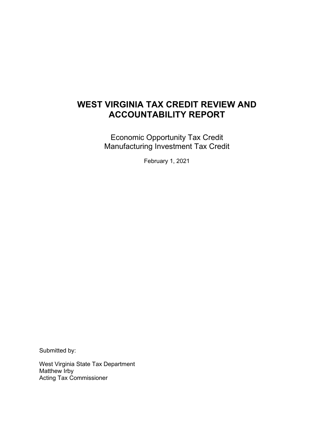# **WEST VIRGINIA TAX CREDIT REVIEW AND ACCOUNTABILITY REPORT**

Economic Opportunity Tax Credit Manufacturing Investment Tax Credit

February 1, 2021

Submitted by:

West Virginia State Tax Department Matthew Irby Acting Tax Commissioner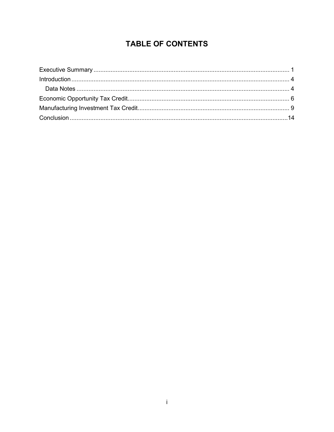# **TABLE OF CONTENTS**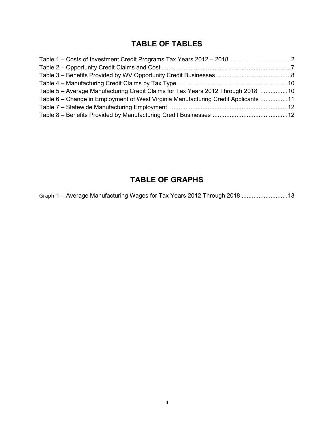# **TABLE OF TABLES**

| Table 5 – Average Manufacturing Credit Claims for Tax Years 2012 Through 2018 10   |  |
|------------------------------------------------------------------------------------|--|
| Table 6 – Change in Employment of West Virginia Manufacturing Credit Applicants 11 |  |
|                                                                                    |  |
|                                                                                    |  |

# **TABLE OF GRAPHS**

Graph 1 – Average Manufacturing Wages for Tax Years 2012 Through 2018 ...........................13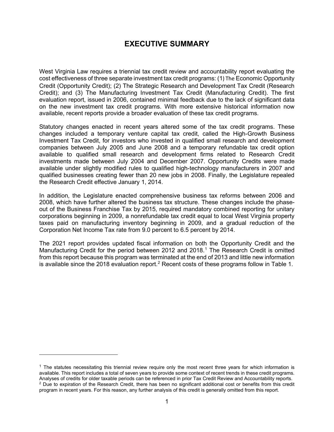## **EXECUTIVE SUMMARY**

<span id="page-3-0"></span>West Virginia Law requires a triennial tax credit review and accountability report evaluating the cost effectiveness of three separate investment tax credit programs: (1) The Economic Opportunity Credit (Opportunity Credit); (2) The Strategic Research and Development Tax Credit (Research Credit); and (3) The Manufacturing Investment Tax Credit (Manufacturing Credit). The first evaluation report, issued in 2006, contained minimal feedback due to the lack of significant data on the new investment tax credit programs. With more extensive historical information now available, recent reports provide a broader evaluation of these tax credit programs.

Statutory changes enacted in recent years altered some of the tax credit programs. These changes included a temporary venture capital tax credit, called the High-Growth Business Investment Tax Credit, for investors who invested in qualified small research and development companies between July 2005 and June 2008 and a temporary refundable tax credit option available to qualified small research and development firms related to Research Credit investments made between July 2004 and December 2007. Opportunity Credits were made available under slightly modified rules to qualified high-technology manufacturers in 2007 and qualified businesses creating fewer than 20 new jobs in 2008. Finally, the Legislature repealed the Research Credit effective January 1, 2014.

In addition, the Legislature enacted comprehensive business tax reforms between 2006 and 2008, which have further altered the business tax structure. These changes include the phaseout of the Business Franchise Tax by 2015, required mandatory combined reporting for unitary corporations beginning in 2009, a nonrefundable tax credit equal to local West Virginia property taxes paid on manufacturing inventory beginning in 2009, and a gradual reduction of the Corporation Net Income Tax rate from 9.0 percent to 6.5 percent by 2014.

The 2021 report provides updated fiscal information on both the Opportunity Credit and the Manufacturing Credit for the period between 20[1](#page-3-1)2 and 2018.<sup>1</sup> The Research Credit is omitted from this report because this program was terminated at the end of 2013 and little new information is available since the [2](#page-3-2)018 evaluation report.<sup>2</sup> Recent costs of these programs follow in Table 1.

<span id="page-3-2"></span><span id="page-3-1"></span> $<sup>1</sup>$  The statutes necessitating this triennial review require only the most recent three years for which information is</sup> available. This report includes a total of seven years to provide some context of recent trends in these credit programs. Analyses of credits for older taxable periods can be referenced in prior Tax Credit Review and Accountability reports. <sup>2</sup> Due to expiration of the Research Credit, there has been no significant additional cost or benefits from this credit program in recent years. For this reason, any further analysis of this credit is generally omitted from this report.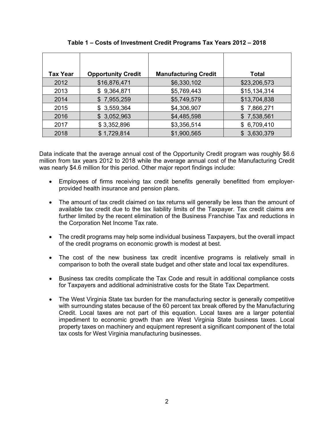| <b>Tax Year</b> | <b>Opportunity Credit</b> | <b>Manufacturing Credit</b> | <b>Total</b> |
|-----------------|---------------------------|-----------------------------|--------------|
| 2012            | \$16,876,471              | \$6,330,102                 | \$23,206,573 |
|                 |                           |                             |              |
| 2013            | \$9,364,871               | \$5,769,443                 | \$15,134,314 |
| 2014            | \$7,955,259               | \$5,749,579                 | \$13,704,838 |
| 2015            | \$3,559,364               | \$4,306,907                 | \$7,866,271  |
| 2016            | \$3,052,963               | \$4,485,598                 | \$7,538,561  |
| 2017            | \$3,352,896               | \$3,356,514                 | \$6,709,410  |
| 2018            | \$1,729,814               | \$1,900,565                 | \$3,630,379  |

**Table 1 – Costs of Investment Credit Programs Tax Years 2012 – 2018** 

Data indicate that the average annual cost of the Opportunity Credit program was roughly \$6.6 million from tax years 2012 to 2018 while the average annual cost of the Manufacturing Credit was nearly \$4.6 million for this period. Other major report findings include:

- Employees of firms receiving tax credit benefits generally benefitted from employerprovided health insurance and pension plans.
- The amount of tax credit claimed on tax returns will generally be less than the amount of available tax credit due to the tax liability limits of the Taxpayer. Tax credit claims are further limited by the recent elimination of the Business Franchise Tax and reductions in the Corporation Net Income Tax rate.
- The credit programs may help some individual business Taxpayers, but the overall impact of the credit programs on economic growth is modest at best.
- The cost of the new business tax credit incentive programs is relatively small in comparison to both the overall state budget and other state and local tax expenditures.
- Business tax credits complicate the Tax Code and result in additional compliance costs for Taxpayers and additional administrative costs for the State Tax Department.
- The West Virginia State tax burden for the manufacturing sector is generally competitive with surrounding states because of the 60 percent tax break offered by the Manufacturing Credit. Local taxes are not part of this equation. Local taxes are a larger potential impediment to economic growth than are West Virginia State business taxes. Local property taxes on machinery and equipment represent a significant component of the total tax costs for West Virginia manufacturing businesses.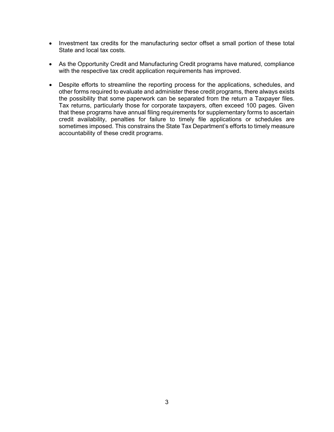- Investment tax credits for the manufacturing sector offset a small portion of these total State and local tax costs.
- As the Opportunity Credit and Manufacturing Credit programs have matured, compliance with the respective tax credit application requirements has improved.
- <span id="page-5-0"></span>• Despite efforts to streamline the reporting process for the applications, schedules, and other forms required to evaluate and administer these credit programs, there always exists the possibility that some paperwork can be separated from the return a Taxpayer files. Tax returns, particularly those for corporate taxpayers, often exceed 100 pages. Given that these programs have annual filing requirements for supplementary forms to ascertain credit availability, penalties for failure to timely file applications or schedules are sometimes imposed. This constrains the State Tax Department's efforts to timely measure accountability of these credit programs.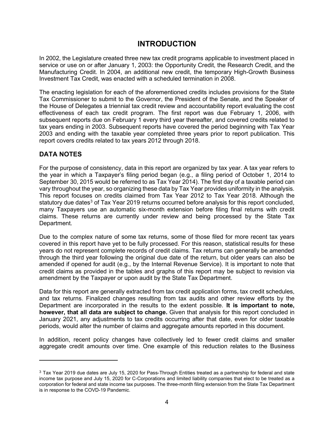## **INTRODUCTION**

In 2002, the Legislature created three new tax credit programs applicable to investment placed in service or use on or after January 1, 2003: the Opportunity Credit, the Research Credit, and the Manufacturing Credit. In 2004, an additional new credit, the temporary High-Growth Business Investment Tax Credit, was enacted with a scheduled termination in 2008.

The enacting legislation for each of the aforementioned credits includes provisions for the State Tax Commissioner to submit to the Governor, the President of the Senate, and the Speaker of the House of Delegates a triennial tax credit review and accountability report evaluating the cost effectiveness of each tax credit program. The first report was due February 1, 2006, with subsequent reports due on February 1 every third year thereafter, and covered credits related to tax years ending in 2003. Subsequent reports have covered the period beginning with Tax Year 2003 and ending with the taxable year completed three years prior to report publication. This report covers credits related to tax years 2012 through 2018.

### <span id="page-6-0"></span>**DATA NOTES**

For the purpose of consistency, data in this report are organized by tax year. A tax year refers to the year in which a Taxpayer's filing period began (e.g., a filing period of October 1, 2014 to September 30, 2015 would be referred to as Tax Year 2014). The first day of a taxable period can vary throughout the year, so organizing these data by Tax Year provides uniformity in the analysis. This report focuses on credits claimed from Tax Year 2012 to Tax Year 2018. Although the statutory due dates<sup>[3](#page-6-1)</sup> of Tax Year 2019 returns occurred before analysis for this report concluded, many Taxpayers use an automatic six-month extension before filing final returns with credit claims. These returns are currently under review and being processed by the State Tax Department.

Due to the complex nature of some tax returns, some of those filed for more recent tax years covered in this report have yet to be fully processed. For this reason, statistical results for these years do not represent complete records of credit claims. Tax returns can generally be amended through the third year following the original due date of the return, but older years can also be amended if opened for audit (e.g., by the Internal Revenue Service). It is important to note that credit claims as provided in the tables and graphs of this report may be subject to revision via amendment by the Taxpayer or upon audit by the State Tax Department.

Data for this report are generally extracted from tax credit application forms, tax credit schedules, and tax returns. Finalized changes resulting from tax audits and other review efforts by the Department are incorporated in the results to the extent possible. **It is important to note, however, that all data are subject to change.** Given that analysis for this report concluded in January 2021, any adjustments to tax credits occurring after that date, even for older taxable periods, would alter the number of claims and aggregate amounts reported in this document.

In addition, recent policy changes have collectively led to fewer credit claims and smaller aggregate credit amounts over time. One example of this reduction relates to the Business

<span id="page-6-1"></span> $3$  Tax Year 2019 due dates are July 15, 2020 for Pass-Through Entities treated as a partnership for federal and state income tax purpose and July 15, 2020 for C-Corporations and limited liability companies that elect to be treated as a corporation for federal and state income tax purposes. The three-month filing extension from the State Tax Department is in response to the COVD-19 Pandemic.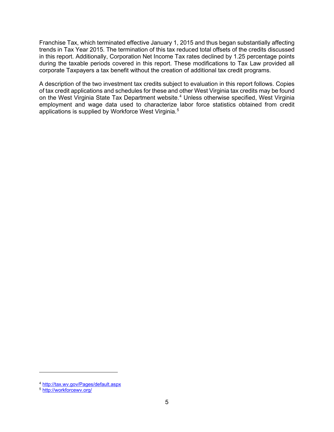Franchise Tax, which terminated effective January 1, 2015 and thus began substantially affecting trends in Tax Year 2015. The termination of this tax reduced total offsets of the credits discussed in this report. Additionally, Corporation Net Income Tax rates declined by 1.25 percentage points during the taxable periods covered in this report. These modifications to Tax Law provided all corporate Taxpayers a tax benefit without the creation of additional tax credit programs.

A description of the two investment tax credits subject to evaluation in this report follows. Copies of tax credit applications and schedules for these and other West Virginia tax credits may be found on the West Virginia State Tax Department website.<sup>[4](#page-7-0)</sup> Unless otherwise specified, West Virginia employment and wage data used to characterize labor force statistics obtained from credit applications is supplied by Workforce West Virginia.<sup>[5](#page-7-1)</sup>

<span id="page-7-0"></span><sup>4</sup> [http://tax.wv.gov/Pages/default.aspx](about:blank)

<span id="page-7-1"></span><sup>5</sup> [http://workforcewv.org/](about:blank)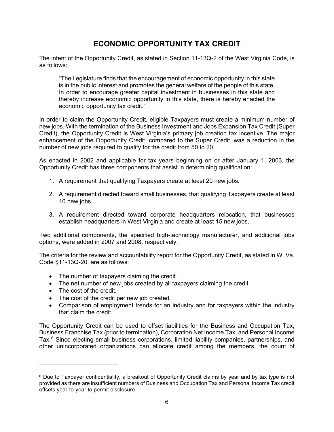# **ECONOMIC OPPORTUNITY TAX CREDIT**

<span id="page-8-0"></span>The intent of the Opportunity Credit, as stated in Section 11-13Q-2 of the West Virginia Code, is as follows:

"The Legislature finds that the encouragement of economic opportunity in this state is in the public interest and promotes the general welfare of the people of this state. In order to encourage greater capital investment in businesses in this state and thereby increase economic opportunity in this state, there is hereby enacted the economic opportunity tax credit."

In order to claim the Opportunity Credit, eligible Taxpayers must create a minimum number of new jobs. With the termination of the Business Investment and Jobs Expansion Tax Credit (Super Credit), the Opportunity Credit is West Virginia's primary job creation tax incentive. The major enhancement of the Opportunity Credit, compared to the Super Credit, was a reduction in the number of new jobs required to qualify for the credit from 50 to 20.

As enacted in 2002 and applicable for tax years beginning on or after January 1, 2003, the Opportunity Credit has three components that assist in determining qualification:

- 1. A requirement that qualifying Taxpayers create at least 20 new jobs.
- 2. A requirement directed toward small businesses, that qualifying Taxpayers create at least 10 new jobs.
- 3. A requirement directed toward corporate headquarters relocation, that businesses establish headquarters in West Virginia and create at least 15 new jobs.

Two additional components, the specified high-technology manufacturer, and additional jobs options, were added in 2007 and 2008, respectively.

The criteria for the review and accountability report for the Opportunity Credit, as stated in W. Va. Code §11-13Q-20, are as follows:

- The number of taxpayers claiming the credit.
- The net number of new jobs created by all taxpayers claiming the credit.
- The cost of the credit.
- The cost of the credit per new job created.
- Comparison of employment trends for an industry and for taxpayers within the industry that claim the credit.

The Opportunity Credit can be used to offset liabilities for the Business and Occupation Tax, Business Franchise Tax (prior to termination), Corporation Net Income Tax, and Personal Income Tax.<sup>[6](#page-8-1)</sup> Since electing small business corporations, limited liability companies, partnerships, and other unincorporated organizations can allocate credit among the members, the count of

<span id="page-8-1"></span><sup>&</sup>lt;sup>6</sup> Due to Taxpayer confidentiality, a breakout of Opportunity Credit claims by year and by tax type is not provided as there are insufficient numbers of Business and Occupation Tax and Personal Income Tax credit offsets year-to-year to permit disclosure.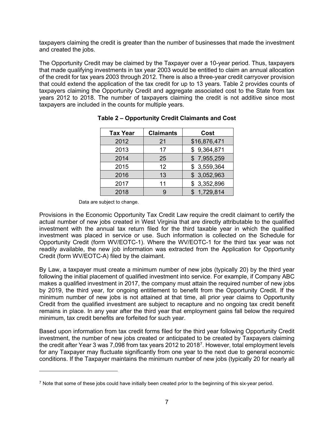taxpayers claiming the credit is greater than the number of businesses that made the investment and created the jobs.

The Opportunity Credit may be claimed by the Taxpayer over a 10-year period. Thus, taxpayers that made qualifying investments in tax year 2003 would be entitled to claim an annual allocation of the credit for tax years 2003 through 2012. There is also a three-year credit carryover provision that could extend the application of the tax credit for up to 13 years. Table 2 provides counts of taxpayers claiming the Opportunity Credit and aggregate associated cost to the State from tax years 2012 to 2018. The number of taxpayers claiming the credit is not additive since most taxpayers are included in the counts for multiple years.

| <b>Tax Year</b> | <b>Claimants</b> | Cost         |
|-----------------|------------------|--------------|
| 2012            | 21               | \$16,876,471 |
| 2013            | 17               | \$9,364,871  |
| 2014            | 25               | \$7,955,259  |
| 2015            | 12               | \$3,559,364  |
| 2016            | 13               | \$3,052,963  |
| 2017            | 11               | \$3,352,896  |
| 2018            |                  | \$1,729,814  |

#### **Table 2 – Opportunity Credit Claimants and Cost**

Data are subject to change.

Provisions in the Economic Opportunity Tax Credit Law require the credit claimant to certify the actual number of new jobs created in West Virginia that are directly attributable to the qualified investment with the annual tax return filed for the third taxable year in which the qualified investment was placed in service or use. Such information is collected on the Schedule for Opportunity Credit (form WV/EOTC-1). Where the WV/EOTC-1 for the third tax year was not readily available, the new job information was extracted from the Application for Opportunity Credit (form WV/EOTC-A) filed by the claimant.

By Law, a taxpayer must create a minimum number of new jobs (typically 20) by the third year following the initial placement of qualified investment into service. For example, if Company ABC makes a qualified investment in 2017, the company must attain the required number of new jobs by 2019, the third year, for ongoing entitlement to benefit from the Opportunity Credit. If the minimum number of new jobs is not attained at that time, all prior year claims to Opportunity Credit from the qualified investment are subject to recapture and no ongoing tax credit benefit remains in place. In any year after the third year that employment gains fall below the required minimum, tax credit benefits are forfeited for such year.

Based upon information from tax credit forms filed for the third year following Opportunity Credit investment, the number of new jobs created or anticipated to be created by Taxpayers claiming the credit after Year 3 was [7](#page-9-0),098 from tax years 2012 to 2018<sup>7</sup>. However, total employment levels for any Taxpayer may fluctuate significantly from one year to the next due to general economic conditions. If the Taxpayer maintains the minimum number of new jobs (typically 20 for nearly all

<span id="page-9-0"></span><sup>&</sup>lt;sup>7</sup> Note that some of these jobs could have initially been created prior to the beginning of this six-year period.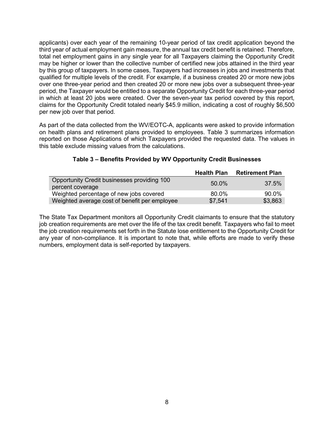applicants) over each year of the remaining 10-year period of tax credit application beyond the third year of actual employment gain measure, the annual tax credit benefit is retained. Therefore, total net employment gains in any single year for all Taxpayers claiming the Opportunity Credit may be higher or lower than the collective number of certified new jobs attained in the third year by this group of taxpayers. In some cases, Taxpayers had increases in jobs and investments that qualified for multiple levels of the credit. For example, if a business created 20 or more new jobs over one three-year period and then created 20 or more new jobs over a subsequent three-year period, the Taxpayer would be entitled to a separate Opportunity Credit for each three-year period in which at least 20 jobs were created. Over the seven-year tax period covered by this report, claims for the Opportunity Credit totaled nearly \$45.9 million, indicating a cost of roughly \$6,500 per new job over that period.

As part of the data collected from the WV/EOTC-A, applicants were asked to provide information on health plans and retirement plans provided to employees. Table 3 summarizes information reported on those Applications of which Taxpayers provided the requested data. The values in this table exclude missing values from the calculations.

|                                                                 | <b>Health Plan</b> | <b>Retirement Plan</b> |
|-----------------------------------------------------------------|--------------------|------------------------|
| Opportunity Credit businesses providing 100<br>percent coverage | 50.0%              | $37.5\%$               |
| Weighted percentage of new jobs covered                         | 80.0%              | 90.0%                  |
| Weighted average cost of benefit per employee                   | \$7,541            | \$3,863                |

#### **Table 3 – Benefits Provided by WV Opportunity Credit Businesses**

The State Tax Department monitors all Opportunity Credit claimants to ensure that the statutory job creation requirements are met over the life of the tax credit benefit. Taxpayers who fail to meet the job creation requirements set forth in the Statute lose entitlement to the Opportunity Credit for any year of non-compliance. It is important to note that, while efforts are made to verify these numbers, employment data is self-reported by taxpayers.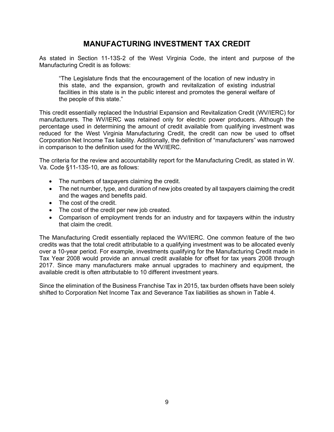## **MANUFACTURING INVESTMENT TAX CREDIT**

<span id="page-11-0"></span>As stated in Section 11-13S-2 of the West Virginia Code, the intent and purpose of the Manufacturing Credit is as follows:

"The Legislature finds that the encouragement of the location of new industry in this state, and the expansion, growth and revitalization of existing industrial facilities in this state is in the public interest and promotes the general welfare of the people of this state."

This credit essentially replaced the Industrial Expansion and Revitalization Credit (WV/IERC) for manufacturers. The WV/IERC was retained only for electric power producers. Although the percentage used in determining the amount of credit available from qualifying investment was reduced for the West Virginia Manufacturing Credit, the credit can now be used to offset Corporation Net Income Tax liability. Additionally, the definition of "manufacturers" was narrowed in comparison to the definition used for the WV/IERC.

The criteria for the review and accountability report for the Manufacturing Credit, as stated in W. Va. Code §11-13S-10, are as follows:

- The numbers of taxpayers claiming the credit.
- The net number, type, and duration of new jobs created by all taxpayers claiming the credit and the wages and benefits paid.
- The cost of the credit.
- The cost of the credit per new job created.
- Comparison of employment trends for an industry and for taxpayers within the industry that claim the credit.

The Manufacturing Credit essentially replaced the WV/IERC. One common feature of the two credits was that the total credit attributable to a qualifying investment was to be allocated evenly over a 10-year period. For example, investments qualifying for the Manufacturing Credit made in Tax Year 2008 would provide an annual credit available for offset for tax years 2008 through 2017. Since many manufacturers make annual upgrades to machinery and equipment, the available credit is often attributable to 10 different investment years.

Since the elimination of the Business Franchise Tax in 2015, tax burden offsets have been solely shifted to Corporation Net Income Tax and Severance Tax liabilities as shown in Table 4.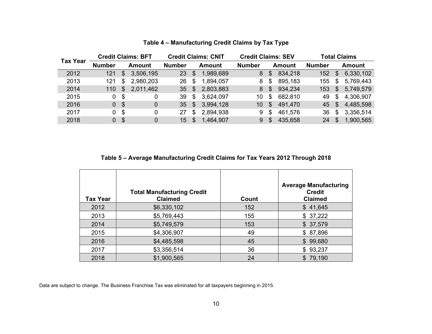| <b>Tax Year</b> |                |               | <b>Credit Claims: BFT</b> |                 |                | <b>Credit Claims: CNIT</b> | <b>Credit Claims: SEV</b> |                |               |               |                | <b>Total Claims</b> |
|-----------------|----------------|---------------|---------------------------|-----------------|----------------|----------------------------|---------------------------|----------------|---------------|---------------|----------------|---------------------|
|                 | <b>Number</b>  |               | Amount                    | <b>Number</b>   |                | <b>Amount</b>              | <b>Number</b>             |                | <b>Amount</b> | <b>Number</b> |                | Amount              |
| 2012            | 121            | $\mathcal{L}$ | 3,506,195                 | 23              | $\mathfrak{F}$ | 1,989,689                  | 8                         | $\mathfrak{L}$ | 834,218       | 152           | $\mathfrak{S}$ | 6,330,102           |
| 2013            | 121            | \$            | 2,980,203                 | 26              | \$             | 1,894,057                  | 8                         | \$             | 895,183       | 155           | \$             | 5,769,443           |
| 2014            | 110            | \$            | 2,011,462                 | 35              | \$             | 2,803,883                  | 8                         | $\mathfrak{L}$ | 934,234       | 153           | $\mathbb{S}$   | 5,749,579           |
| 2015            | $\mathbf 0$    | \$            | 0                         | 39              | \$             | 3,624,097                  | 10                        | \$             | 682,810       | 49            | \$             | 4,306,907           |
| 2016            | $\overline{0}$ | - \$          | 0                         | 35 <sub>1</sub> | $\mathfrak{F}$ | 3,994,128                  | 10                        | $\mathfrak{L}$ | 491,470       | 45            | - \$           | 4,485,598           |
| 2017            | 0              | -\$           | 0                         | 27              | \$             | 2,894,938                  | 9                         | \$             | 461,576       | 36            | \$             | 3,356,514           |
| 2018            | 0              | -\$           | 0                         | 15              | \$             | 1,464,907                  | 9                         | \$.            | 435,658       | 24            | \$             | 1,900,565           |

### **Table 4 – Manufacturing Credit Claims by Tax Type**

### **Table 5 – Average Manufacturing Credit Claims for Tax Years 2012 Through 2018**

| <b>Tax Year</b> | <b>Total Manufacturing Credit</b><br><b>Claimed</b> | Count | <b>Average Manufacturing</b><br><b>Credit</b><br><b>Claimed</b> |
|-----------------|-----------------------------------------------------|-------|-----------------------------------------------------------------|
| 2012            | \$6,330,102                                         | 152   | \$41,645                                                        |
| 2013            | \$5,769,443                                         | 155   | \$37,222                                                        |
| 2014            | \$5,749,579                                         | 153   | \$37,579                                                        |
| 2015            | \$4,306,907                                         | 49    | \$87,896                                                        |
| 2016            | \$4,485,598                                         | 45    | \$99,680                                                        |
| 2017            | \$3,356,514                                         | 36    | \$93,237                                                        |
| 2018            | \$1,900,565                                         | 24    | \$79,190                                                        |

Data are subject to change. The Business Franchise Tax was eliminated for all taxpayers beginning in 2015.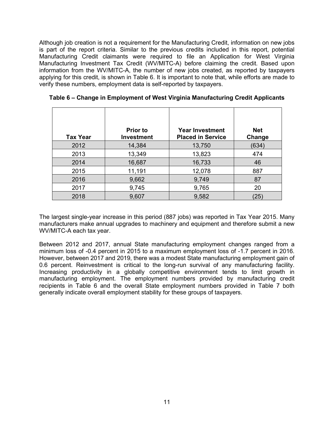Although job creation is not a requirement for the Manufacturing Credit, information on new jobs is part of the report criteria. Similar to the previous credits included in this report, potential Manufacturing Credit claimants were required to file an Application for West Virginia Manufacturing Investment Tax Credit (WV/MITC-A) before claiming the credit. Based upon information from the WV/MITC-A, the number of new jobs created, as reported by taxpayers applying for this credit, is shown in Table 6. It is important to note that, while efforts are made to verify these numbers, employment data is self-reported by taxpayers.

| <b>Tax Year</b> | <b>Prior to</b><br><b>Investment</b> | <b>Year Investment</b><br><b>Placed in Service</b> | <b>Net</b><br>Change |
|-----------------|--------------------------------------|----------------------------------------------------|----------------------|
| 2012            | 14,384                               | 13,750                                             | (634)                |
| 2013            | 13,349                               | 13,823                                             | 474                  |
| 2014            | 16,687                               | 16,733                                             | 46                   |
| 2015            | 11,191                               | 12,078                                             | 887                  |
| 2016            | 9,662                                | 9,749                                              | 87                   |
| 2017            | 9,745                                | 9,765                                              | 20                   |
| 2018            | 9,607                                | 9,582                                              | 25                   |

**Table 6 – Change in Employment of West Virginia Manufacturing Credit Applicants**

The largest single-year increase in this period (887 jobs) was reported in Tax Year 2015. Many manufacturers make annual upgrades to machinery and equipment and therefore submit a new WV/MITC-A each tax year.

Between 2012 and 2017, annual State manufacturing employment changes ranged from a minimum loss of -0.4 percent in 2015 to a maximum employment loss of -1.7 percent in 2016. However, between 2017 and 2019, there was a modest State manufacturing employment gain of 0.6 percent. Reinvestment is critical to the long-run survival of any manufacturing facility. Increasing productivity in a globally competitive environment tends to limit growth in manufacturing employment. The employment numbers provided by manufacturing credit recipients in Table 6 and the overall State employment numbers provided in Table 7 both generally indicate overall employment stability for these groups of taxpayers.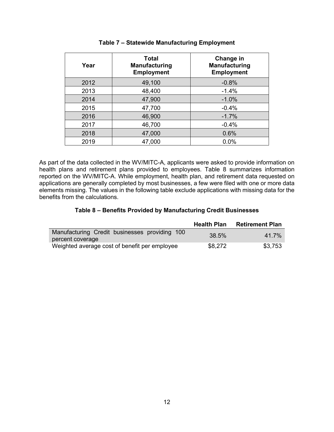| Year | <b>Total</b><br><b>Manufacturing</b><br><b>Employment</b> | Change in<br><b>Manufacturing</b><br><b>Employment</b> |
|------|-----------------------------------------------------------|--------------------------------------------------------|
| 2012 | 49,100                                                    | $-0.8%$                                                |
| 2013 | 48,400                                                    | $-1.4%$                                                |
| 2014 | 47,900                                                    | $-1.0%$                                                |
| 2015 | 47,700                                                    | $-0.4%$                                                |
| 2016 | 46,900                                                    | $-1.7%$                                                |
| 2017 | 46,700                                                    | $-0.4%$                                                |
| 2018 | 47,000                                                    | 0.6%                                                   |
| 2019 | 47,000                                                    | 0.0%                                                   |

#### **Table 7 – Statewide Manufacturing Employment**

As part of the data collected in the WV/MITC-A, applicants were asked to provide information on health plans and retirement plans provided to employees. Table 8 summarizes information reported on the WV/MITC-A. While employment, health plan, and retirement data requested on applications are generally completed by most businesses, a few were filed with one or more data elements missing. The values in the following table exclude applications with missing data for the benefits from the calculations.

#### **Table 8 – Benefits Provided by Manufacturing Credit Businesses**

|                                                                   | <b>Health Plan</b> | <b>Retirement Plan</b> |
|-------------------------------------------------------------------|--------------------|------------------------|
| Manufacturing Credit businesses providing 100<br>percent coverage | 38.5%              | 41 7%                  |
| Weighted average cost of benefit per employee                     | \$8,272            | \$3,753                |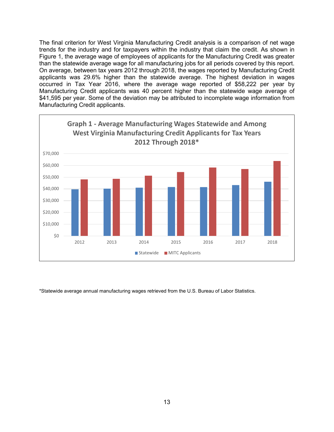The final criterion for West Virginia Manufacturing Credit analysis is a comparison of net wage trends for the industry and for taxpayers within the industry that claim the credit. As shown in Figure 1, the average wage of employees of applicants for the Manufacturing Credit was greater than the statewide average wage for all manufacturing jobs for all periods covered by this report. On average, between tax years 2012 through 2018, the wages reported by Manufacturing Credit applicants was 29.6% higher than the statewide average. The highest deviation in wages occurred in Tax Year 2016, where the average wage reported of \$58,222 per year by Manufacturing Credit applicants was 40 percent higher than the statewide wage average of \$41,595 per year. Some of the deviation may be attributed to incomplete wage information from Manufacturing Credit applicants.



\*Statewide average annual manufacturing wages retrieved from the U.S. Bureau of Labor Statistics.